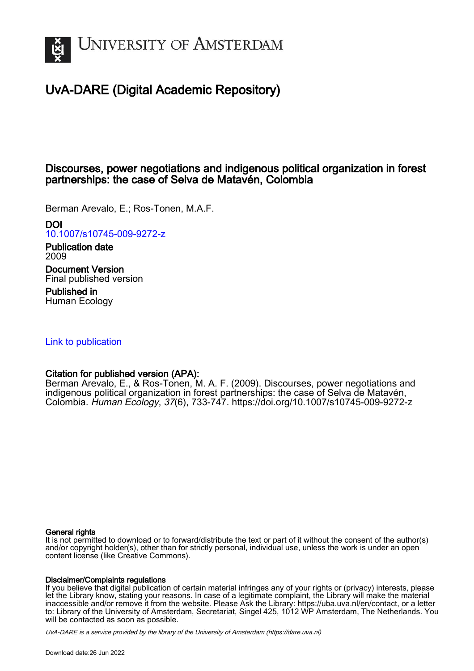

# UvA-DARE (Digital Academic Repository)

# Discourses, power negotiations and indigenous political organization in forest partnerships: the case of Selva de Matavén, Colombia

Berman Arevalo, E.; Ros-Tonen, M.A.F.

DOI

[10.1007/s10745-009-9272-z](https://doi.org/10.1007/s10745-009-9272-z)

Publication date 2009

Document Version Final published version

Published in Human Ecology

# [Link to publication](https://dare.uva.nl/personal/pure/en/publications/discourses-power-negotiations-and-indigenous-political-organization-in-forest-partnerships-the-case-of-selva-de-mataven-colombia(0bf217e9-17ba-4893-b47c-d1d49f4399bd).html)

# Citation for published version (APA):

Berman Arevalo, E., & Ros-Tonen, M. A. F. (2009). Discourses, power negotiations and indigenous political organization in forest partnerships: the case of Selva de Matavén, Colombia. Human Ecology, 37(6), 733-747. <https://doi.org/10.1007/s10745-009-9272-z>

## General rights

It is not permitted to download or to forward/distribute the text or part of it without the consent of the author(s) and/or copyright holder(s), other than for strictly personal, individual use, unless the work is under an open content license (like Creative Commons).

# Disclaimer/Complaints regulations

If you believe that digital publication of certain material infringes any of your rights or (privacy) interests, please let the Library know, stating your reasons. In case of a legitimate complaint, the Library will make the material inaccessible and/or remove it from the website. Please Ask the Library: https://uba.uva.nl/en/contact, or a letter to: Library of the University of Amsterdam, Secretariat, Singel 425, 1012 WP Amsterdam, The Netherlands. You will be contacted as soon as possible.

UvA-DARE is a service provided by the library of the University of Amsterdam (http*s*://dare.uva.nl)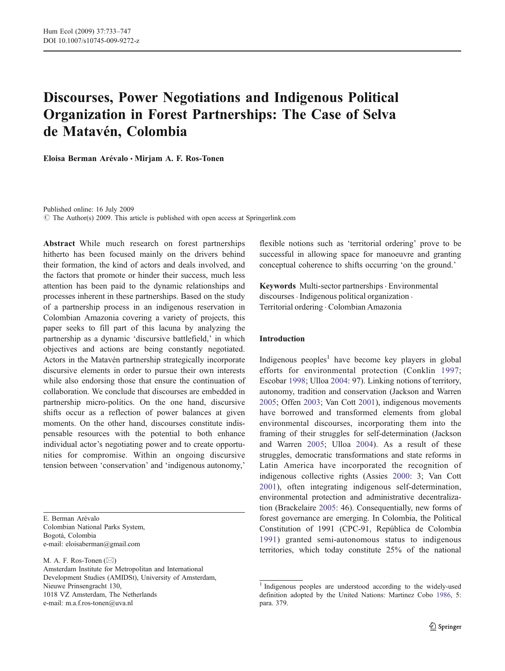# Discourses, Power Negotiations and Indigenous Political Organization in Forest Partnerships: The Case of Selva de Matavén, Colombia

Eloisa Berman Arévalo *&* Mirjam A. F. Ros-Tonen

Published online: 16 July 2009  $\circ$  The Author(s) 2009. This article is published with open access at Springerlink.com

Abstract While much research on forest partnerships hitherto has been focused mainly on the drivers behind their formation, the kind of actors and deals involved, and the factors that promote or hinder their success, much less attention has been paid to the dynamic relationships and processes inherent in these partnerships. Based on the study of a partnership process in an indigenous reservation in Colombian Amazonia covering a variety of projects, this paper seeks to fill part of this lacuna by analyzing the partnership as a dynamic 'discursive battlefield,' in which objectives and actions are being constantly negotiated. Actors in the Matavén partnership strategically incorporate discursive elements in order to pursue their own interests while also endorsing those that ensure the continuation of collaboration. We conclude that discourses are embedded in partnership micro-politics. On the one hand, discursive shifts occur as a reflection of power balances at given moments. On the other hand, discourses constitute indispensable resources with the potential to both enhance individual actor's negotiating power and to create opportunities for compromise. Within an ongoing discursive tension between 'conservation' and 'indigenous autonomy,'

E. Berman Arévalo Colombian National Parks System, Bogotá, Colombia e-mail: eloisaberman@gmail.com

M. A. F. Ros-Tonen (*\**)

Amsterdam Institute for Metropolitan and International Development Studies (AMIDSt), University of Amsterdam, Nieuwe Prinsengracht 130, 1018 VZ Amsterdam, The Netherlands e-mail: m.a.f.ros-tonen@uva.nl

flexible notions such as 'territorial ordering' prove to be successful in allowing space for manoeuvre and granting conceptual coherence to shifts occurring 'on the ground.'

Keywords Multi-sector partnerships. Environmental discourses. Indigenous political organization . Territorial ordering . Colombian Amazonia

#### Introduction

Indigenous peoples<sup>1</sup> have become key players in global efforts for environmental protection (Conklin [1997;](#page-14-0) Escobar [1998;](#page-14-0) Ulloa [2004](#page-15-0): 97). Linking notions of territory, autonomy, tradition and conservation (Jackson and Warren [2005](#page-15-0); Offen [2003](#page-15-0); Van Cott [2001\)](#page-15-0), indigenous movements have borrowed and transformed elements from global environmental discourses, incorporating them into the framing of their struggles for self-determination (Jackson and Warren [2005;](#page-15-0) Ulloa [2004](#page-15-0)). As a result of these struggles, democratic transformations and state reforms in Latin America have incorporated the recognition of indigenous collective rights (Assies [2000](#page-14-0): 3; Van Cott [2001\)](#page-15-0), often integrating indigenous self-determination, environmental protection and administrative decentralization (Brackelaire [2005](#page-14-0): 46). Consequentially, new forms of forest governance are emerging. In Colombia, the Political Constitution of 1991 (CPC-91, República de Colombia [1991\)](#page-15-0) granted semi-autonomous status to indigenous territories, which today constitute 25% of the national

<sup>1</sup> Indigenous peoples are understood according to the widely-used definition adopted by the United Nations: Martinez Cobo [1986,](#page-15-0) 5: para. 379.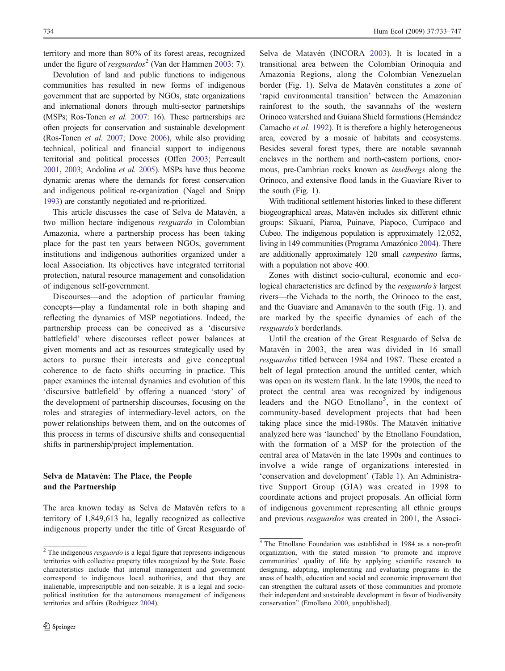territory and more than 80% of its forest areas, recognized under the figure of resguardos<sup>2</sup> (Van der Hammen [2003](#page-15-0): 7).

Devolution of land and public functions to indigenous communities has resulted in new forms of indigenous government that are supported by NGOs, state organizations and international donors through multi-sector partnerships (MSPs; Ros-Tonen et al. [2007:](#page-15-0) 16). These partnerships are often projects for conservation and sustainable development (Ros-Tonen et al. [2007](#page-15-0); Dove [2006\)](#page-14-0), while also providing technical, political and financial support to indigenous territorial and political processes (Offen [2003;](#page-15-0) Perreault [2001](#page-15-0), [2003](#page-15-0); Andolina et al. [2005](#page-14-0)). MSPs have thus become dynamic arenas where the demands for forest conservation and indigenous political re-organization (Nagel and Snipp [1993](#page-15-0)) are constantly negotiated and re-prioritized.

This article discusses the case of Selva de Matavén, a two million hectare indigenous resguardo in Colombian Amazonia, where a partnership process has been taking place for the past ten years between NGOs, government institutions and indigenous authorities organized under a local Association. Its objectives have integrated territorial protection, natural resource management and consolidation of indigenous self-government.

Discourses—and the adoption of particular framing concepts—play a fundamental role in both shaping and reflecting the dynamics of MSP negotiations. Indeed, the partnership process can be conceived as a 'discursive battlefield' where discourses reflect power balances at given moments and act as resources strategically used by actors to pursue their interests and give conceptual coherence to de facto shifts occurring in practice. This paper examines the internal dynamics and evolution of this 'discursive battlefield' by offering a nuanced 'story' of the development of partnership discourses, focusing on the roles and strategies of intermediary-level actors, on the power relationships between them, and on the outcomes of this process in terms of discursive shifts and consequential shifts in partnership/project implementation.

## Selva de Matavén: The Place, the People and the Partnership

The area known today as Selva de Matavén refers to a territory of 1,849,613 ha, legally recognized as collective indigenous property under the title of Great Resguardo of

Selva de Matavén (INCORA [2003](#page-15-0)). It is located in a transitional area between the Colombian Orinoquia and Amazonia Regions, along the Colombian–Venezuelan border (Fig. [1](#page-3-0)). Selva de Matavén constitutes a zone of 'rapid environmental transition' between the Amazonian rainforest to the south, the savannahs of the western Orinoco watershed and Guiana Shield formations (Hernández Camacho et al. [1992](#page-15-0)). It is therefore a highly heterogeneous area, covered by a mosaic of habitats and ecosystems. Besides several forest types, there are notable savannah enclaves in the northern and north-eastern portions, enormous, pre-Cambrian rocks known as inselbergs along the Orinoco, and extensive flood lands in the Guaviare River to the south (Fig. [1](#page-3-0)).

With traditional settlement histories linked to these different biogeographical areas, Matavén includes six different ethnic groups: Sikuani, Piaroa, Puinave, Piapoco, Curripaco and Cubeo. The indigenous population is approximately 12,052, living in 149 communities (Programa Amazónico [2004](#page-15-0)). There are additionally approximately 120 small campesino farms, with a population not above 400.

Zones with distinct socio-cultural, economic and ecological characteristics are defined by the resguardo's largest rivers—the Vichada to the north, the Orinoco to the east, and the Guaviare and Amanavén to the south (Fig. [1\)](#page-3-0). and are marked by the specific dynamics of each of the resguardo's borderlands.

Until the creation of the Great Resguardo of Selva de Matavén in 2003, the area was divided in 16 small resguardos titled between 1984 and 1987. These created a belt of legal protection around the untitled center, which was open on its western flank. In the late 1990s, the need to protect the central area was recognized by indigenous leaders and the NGO Etnollano<sup>3</sup>, in the context of community-based development projects that had been taking place since the mid-1980s. The Matavén initiative analyzed here was 'launched' by the Etnollano Foundation, with the formation of a MSP for the protection of the central area of Matavén in the late 1990s and continues to involve a wide range of organizations interested in 'conservation and development' (Table [1](#page-4-0)). An Administrative Support Group (GIA) was created in 1998 to coordinate actions and project proposals. An official form of indigenous government representing all ethnic groups and previous resguardos was created in 2001, the Associ-

 $2$  The indigenous *resguardo* is a legal figure that represents indigenous territories with collective property titles recognized by the State. Basic characteristics include that internal management and government correspond to indigenous local authorities, and that they are inalienable, imprescriptible and non-seizable. It is a legal and sociopolitical institution for the autonomous management of indigenous territories and affairs (Rodríguez [2004](#page-15-0)).

<sup>3</sup> The Etnollano Foundation was established in 1984 as a non-profit organization, with the stated mission "to promote and improve communities' quality of life by applying scientific research to designing, adapting, implementing and evaluating programs in the areas of health, education and social and economic improvement that can strengthen the cultural assets of those communities and promote their independent and sustainable development in favor of biodiversity conservation" (Etnollano [2000,](#page-14-0) unpublished).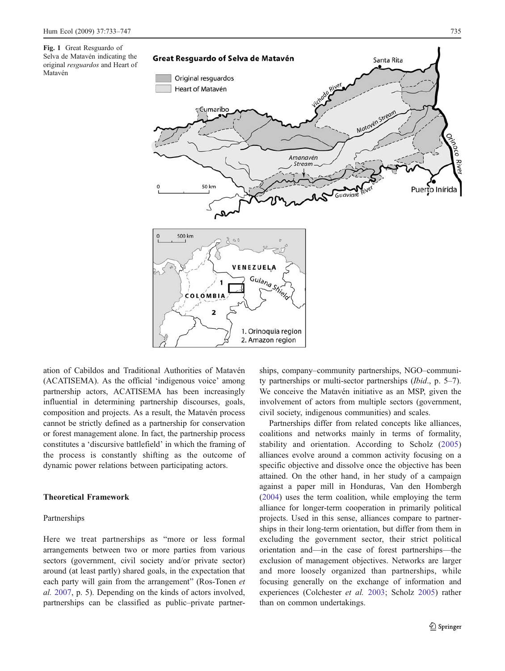<span id="page-3-0"></span>Fig. 1 Great Resguardo of Selva de Matavén indicating the original resguardos and Heart of Matavén



ation of Cabildos and Traditional Authorities of Matavén (ACATISEMA). As the official 'indigenous voice' among partnership actors, ACATISEMA has been increasingly influential in determining partnership discourses, goals, composition and projects. As a result, the Matavén process cannot be strictly defined as a partnership for conservation or forest management alone. In fact, the partnership process constitutes a 'discursive battlefield' in which the framing of the process is constantly shifting as the outcome of dynamic power relations between participating actors.

#### Theoretical Framework

#### Partnerships

Here we treat partnerships as "more or less formal arrangements between two or more parties from various sectors (government, civil society and/or private sector) around (at least partly) shared goals, in the expectation that each party will gain from the arrangement" (Ros-Tonen et al. [2007](#page-15-0), p. 5). Depending on the kinds of actors involved, partnerships can be classified as public–private partnerships, company–community partnerships, NGO–community partnerships or multi-sector partnerships (Ibid., p. 5–7). We conceive the Matavén initiative as an MSP, given the involvement of actors from multiple sectors (government, civil society, indigenous communities) and scales.

Partnerships differ from related concepts like alliances, coalitions and networks mainly in terms of formality, stability and orientation. According to Scholz ([2005](#page-15-0)) alliances evolve around a common activity focusing on a specific objective and dissolve once the objective has been attained. On the other hand, in her study of a campaign against a paper mill in Honduras, Van den Hombergh [\(2004](#page-15-0)) uses the term coalition, while employing the term alliance for longer-term cooperation in primarily political projects. Used in this sense, alliances compare to partnerships in their long-term orientation, but differ from them in excluding the government sector, their strict political orientation and—in the case of forest partnerships—the exclusion of management objectives. Networks are larger and more loosely organized than partnerships, while focusing generally on the exchange of information and experiences (Colchester et al. [2003](#page-14-0); Scholz [2005](#page-15-0)) rather than on common undertakings.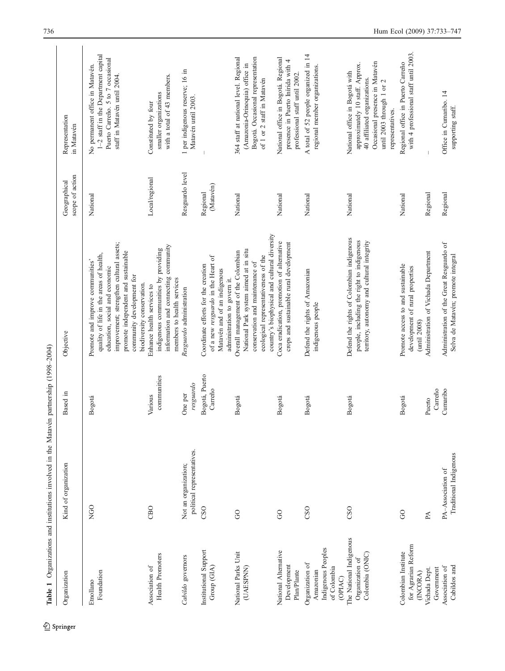<span id="page-4-0"></span>

| La UIC 1                                                                     | organizations and misure in the magical            | occi dirementa in         |                                                                                                                                                                                                                                                             |                                 |                                                                                                                                                                                      |
|------------------------------------------------------------------------------|----------------------------------------------------|---------------------------|-------------------------------------------------------------------------------------------------------------------------------------------------------------------------------------------------------------------------------------------------------------|---------------------------------|--------------------------------------------------------------------------------------------------------------------------------------------------------------------------------------|
| Organization                                                                 | Kind of organization                               | Based in                  | Objective                                                                                                                                                                                                                                                   | scope of action<br>Geographical | Representation<br>in Matavén                                                                                                                                                         |
| Foundation<br>Etnollano                                                      | <b>NGO</b>                                         | Bogotá                    | improvement; strengthen cultural assets;<br>promote independent and sustainable<br>quality of life in the areas of health,<br>Promote and improve communities'<br>education, social and economic<br>community development for<br>biodiversity conservation. | National                        | 1-2 staff in the Department capital<br>Puerto Carreño. 5 to 7 occasional<br>No permanent office in Matavén.<br>staff in Matavén until 2004.                                          |
| Health Promoters<br>Association of                                           | CBO                                                | communities<br>Various    | information and connecting community<br>indigenous communities by providing<br>members to health services<br>Enhance health services to                                                                                                                     | Local/regional                  | with a total of 43 members.<br>smaller organizations<br>Constituted by four                                                                                                          |
| Cabildo governors                                                            | political representatives.<br>Not an organization; | resguardo<br>One per      | Resguardo administration                                                                                                                                                                                                                                    | Resguardo level                 | 1 per indigenous reserve; 16 in<br>Matavén until 2003.                                                                                                                               |
| Institutional Support<br>Group (GIA)                                         | CSO                                                | Bogotá, Puerto<br>Carreño | of a new resguardo in the Heart of<br>Coordinate efforts for the creation<br>Matavén and of an indigenous<br>administration to govern it.                                                                                                                   | (Matavén)<br>Regional           |                                                                                                                                                                                      |
| National Parks Unit<br>(UAESPNN)                                             | $\mathcal{S}$                                      | Bogotá                    | country's biophysical and cultural diversity<br>National Park system aimed at in situ<br>Overall management of the Colombian<br>ecological representativeness of the<br>conservation and maintenance of                                                     | National                        | Bogotá. Occasional representation<br>364 staff at national level. Regional<br>(Amazonia-Orinoquia) office in<br>of 1 or 2 staff in Matavén                                           |
| National Alternative<br>Development<br>Plan/Plante                           | $\mathcal{S}$                                      | Bogotá                    | Coca eradication, promotion of alternative<br>crops and sustainable rural development                                                                                                                                                                       | National                        | National office in Bogotá. Regional<br>presence in Puerto Inirida with 4<br>professional staff until 2002.                                                                           |
| Indigenous Peoples<br>Organization of<br>of Colombia<br>Amazonian<br>(OPIAC) | $\overline{\text{CSO}}$                            | Bogotá                    | Defend the rights of Amazonian<br>indigenous people                                                                                                                                                                                                         | National                        | A total of 52 people organized in 14<br>regional member organizations.                                                                                                               |
| The National Indigenous<br>Colombia (ONIC)<br>Organization of                | $\cos$                                             | Bogotá                    | Defend the rights of Colombian indigenous<br>people, including the right to indigenous<br>territory, autonomy and cultural integrity                                                                                                                        | National                        | Occasional presence in Matavén<br>approximately 10 staff. Approx.<br>National office in Bogotá with<br>40 affiliated organizations.<br>until 2003 through 1 or 2<br>representatives. |
| for Agrarian Reform<br>Colombian Institute<br>(INCORA)                       | $\mathcal{S}$                                      | Bogotá                    | Promote access to and sustainable<br>development of rural properties<br>(until 2008)                                                                                                                                                                        | National                        | with 4 professional staff until 2003.<br>Regional office in Puerto Carreño                                                                                                           |
| Government<br>Vichada Dept.                                                  | PA                                                 | Carreño<br>Puerto         | Administration of Vichada Department                                                                                                                                                                                                                        | Regional                        |                                                                                                                                                                                      |
| Cabildos and<br>Association of                                               | Traditional Indigenous<br>PA-Association of        | Cumaribo                  | Administration of the Great Resguardo of<br>Selva de Matavén; promote integral                                                                                                                                                                              | Regional                        | Office in Cumaribo. 14<br>supporting staff.                                                                                                                                          |

Table 1 Organizations and institutions involved in the Matavén partnership (1998–2004) Table 1 Organizations and institutions involved in the Matavén partnership (1998–2004)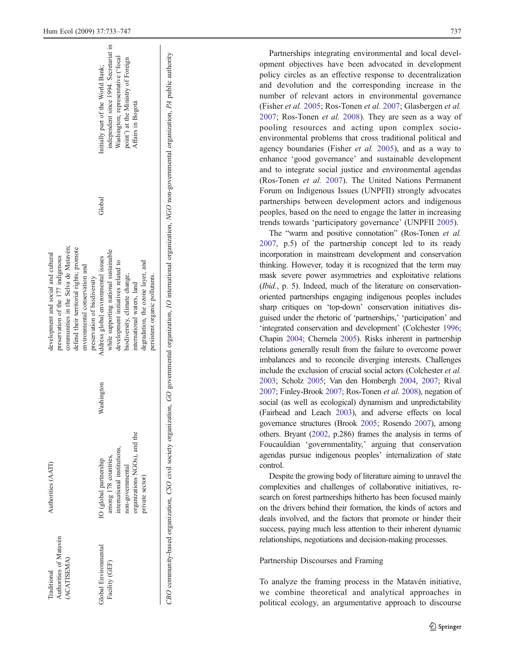|                                                                                                                                                                                                                                 | independent since 1994. Secretariat in<br>Washington; representative ('focal<br>point') at the Ministry of Foreign<br>nitially part of the World Bank;<br>Affairs in Bogotá                                                                              |                                                                                                                                                                                       |
|---------------------------------------------------------------------------------------------------------------------------------------------------------------------------------------------------------------------------------|----------------------------------------------------------------------------------------------------------------------------------------------------------------------------------------------------------------------------------------------------------|---------------------------------------------------------------------------------------------------------------------------------------------------------------------------------------|
|                                                                                                                                                                                                                                 | Global                                                                                                                                                                                                                                                   |                                                                                                                                                                                       |
| communities in the Selva de Matavén;<br>defend their territorial rights; promote<br>development and social and cultural<br>preservation of the 177 indigenous<br>environmental conservation and<br>preservation of biodiversity | while supporting national sustainable<br>Address global environmental issues<br>development initiatives related to<br>degradation, the ozone layer, and<br>biodiversity, climate change,<br>persistent organic pollutants.<br>international waters, land | CBO community-based organization, CSO civil society organization, GO governmental organization, IO international organization, NGO non-governmental organization, PA public authority |
|                                                                                                                                                                                                                                 | Washington                                                                                                                                                                                                                                               |                                                                                                                                                                                       |
| Authorities (AATI)                                                                                                                                                                                                              | organizations NGOs), and the<br>international institutions,<br>among 178 countries,<br>IO (global partnership<br>non-governmental<br>private sector)                                                                                                     |                                                                                                                                                                                       |
| Authorities of Matavén<br>(ACATISEMA)<br>Traditional                                                                                                                                                                            | Global Environmental<br>Facility (GEF)                                                                                                                                                                                                                   |                                                                                                                                                                                       |

Partnerships integrating environmental and local development objectives have been advocated in development policy circles as an effective response to decentralization and devolution and the corresponding increase in the number of relevant actors in environmental governance (Fisher et al. [2005](#page-14-0); Ros-Tonen et al. [2007;](#page-15-0) Glasbergen et al. [2007](#page-15-0); Ros-Tonen et al. [2008\)](#page-15-0). They are seen as a way of pooling resources and acting upon complex socioenvironmental problems that cross traditional political and agency boundaries (Fisher et al. [2005\)](#page-14-0), and as a way to enhance 'good governance' and sustainable development and to integrate social justice and environmental agendas (Ros-Tonen et al. [2007](#page-15-0)). The United Nations Permanent Forum on Indigenous Issues (UNPFII) strongly advocates partnerships between development actors and indigenous peoples, based on the need to engage the latter in increasing trends towards 'participatory governance ' (UNPFII [2005](#page-15-0)).

The "warm and positive connotation" (Ros-Tonen et al. [2007,](#page-15-0) p.5) of the partnership concept led to its ready incorporation in mainstream development and conservation thinking. However, today it is recognized that the term may mask severe power asymmetries and exploitative relations (*Ibid.*, p. 5). Indeed, much of the literature on conservationoriented partnerships engaging indigenous peoples includes sharp critiques on 'top-down ' conservation initiatives disguised under the rhetoric of 'partnerships,' 'participation' and 'integrated conservation and development' (Colchester [1996;](#page-14-0) Chapin [2004;](#page-14-0) Chernela [2005\)](#page-14-0). Risks inherent in partnership relations generally result from the failure to overcome power imbalances and to reconcile diverging interests. Challenges include the exclusion of crucial social actors (Colchester et al. [2003](#page-14-0); Scholz [2005;](#page-15-0) Van den Hombergh [2004](#page-15-0) , [2007;](#page-15-0) Rival [2007](#page-15-0); Finley-Brook [2007](#page-14-0); Ros-Tonen et al. [2008](#page-15-0)), negation of social (as well as ecological) dynamism and unpredictability (Fairhead and Leach [2003](#page-14-0)), and adverse effects on local governance structures (Brook [2005;](#page-14-0) Rosendo [2007](#page-15-0)), among others. Bryant [\(2002](#page-14-0), p.286) frames the analysis in terms of Foucauldian 'governmentality, ' arguing that conservation agendas pursue indigenous peoples ' internalization of state control.

Despite the growing body of literature aiming to unravel the complexities and challenges of collaborative initiatives, research on forest partnerships hitherto has been focused mainly on the drivers behind their formation, the kinds of actors and deals involved, and the factors that promote or hinder their success, paying much less attention to their inherent dynamic relationships, negotiations and decision-making processes.

#### Partnership Discourses and Framing

To analyze the framing process in the Matavén initiative, we combine theoretical and analytical approaches in political ecology, an argumentative approach to discourse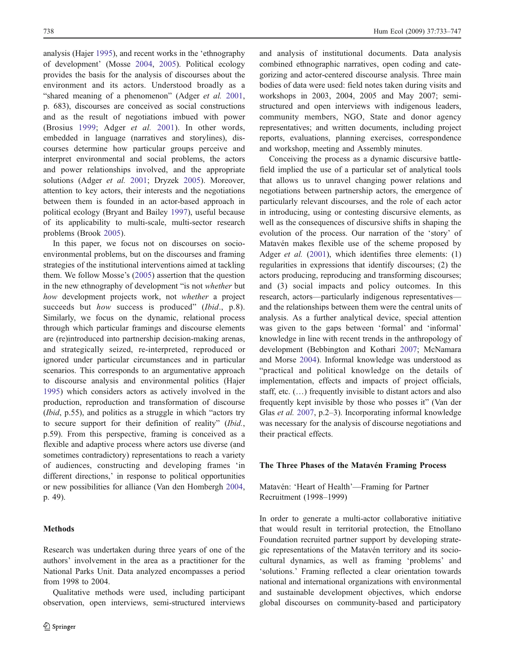analysis (Hajer [1995\)](#page-15-0), and recent works in the 'ethnography of development' (Mosse [2004,](#page-15-0) [2005\)](#page-15-0). Political ecology provides the basis for the analysis of discourses about the environment and its actors. Understood broadly as a "shared meaning of a phenomenon" (Adger et al. [2001,](#page-14-0) p. 683), discourses are conceived as social constructions and as the result of negotiations imbued with power (Brosius [1999](#page-14-0); Adger et al. [2001](#page-14-0)). In other words, embedded in language (narratives and storylines), discourses determine how particular groups perceive and interpret environmental and social problems, the actors and power relationships involved, and the appropriate solutions (Adger et al. [2001;](#page-14-0) Dryzek [2005\)](#page-14-0). Moreover, attention to key actors, their interests and the negotiations between them is founded in an actor-based approach in political ecology (Bryant and Bailey [1997](#page-14-0)), useful because of its applicability to multi-scale, multi-sector research problems (Brook [2005](#page-14-0)).

In this paper, we focus not on discourses on socioenvironmental problems, but on the discourses and framing strategies of the institutional interventions aimed at tackling them. We follow Mosse's [\(2005](#page-15-0)) assertion that the question in the new ethnography of development "is not whether but how development projects work, not whether a project succeeds but how success is produced" (Ibid., p.8). Similarly, we focus on the dynamic, relational process through which particular framings and discourse elements are (re)introduced into partnership decision-making arenas, and strategically seized, re-interpreted, reproduced or ignored under particular circumstances and in particular scenarios. This corresponds to an argumentative approach to discourse analysis and environmental politics (Hajer [1995\)](#page-15-0) which considers actors as actively involved in the production, reproduction and transformation of discourse (Ibid, p.55), and politics as a struggle in which "actors try to secure support for their definition of reality" (Ibid., p.59). From this perspective, framing is conceived as a flexible and adaptive process where actors use diverse (and sometimes contradictory) representations to reach a variety of audiences, constructing and developing frames 'in different directions,' in response to political opportunities or new possibilities for alliance (Van den Hombergh [2004,](#page-15-0) p. 49).

## Methods

Research was undertaken during three years of one of the authors' involvement in the area as a practitioner for the National Parks Unit. Data analyzed encompasses a period from 1998 to 2004.

Qualitative methods were used, including participant observation, open interviews, semi-structured interviews

and analysis of institutional documents. Data analysis combined ethnographic narratives, open coding and categorizing and actor-centered discourse analysis. Three main bodies of data were used: field notes taken during visits and workshops in 2003, 2004, 2005 and May 2007; semistructured and open interviews with indigenous leaders, community members, NGO, State and donor agency representatives; and written documents, including project reports, evaluations, planning exercises, correspondence and workshop, meeting and Assembly minutes.

Conceiving the process as a dynamic discursive battlefield implied the use of a particular set of analytical tools that allows us to unravel changing power relations and negotiations between partnership actors, the emergence of particularly relevant discourses, and the role of each actor in introducing, using or contesting discursive elements, as well as the consequences of discursive shifts in shaping the evolution of the process. Our narration of the 'story' of Matavén makes flexible use of the scheme proposed by Adger et al. [\(2001](#page-14-0)), which identifies three elements: (1) regularities in expressions that identify discourses; (2) the actors producing, reproducing and transforming discourses; and (3) social impacts and policy outcomes. In this research, actors—particularly indigenous representatives and the relationships between them were the central units of analysis. As a further analytical device, special attention was given to the gaps between 'formal' and 'informal' knowledge in line with recent trends in the anthropology of development (Bebbington and Kothari [2007;](#page-14-0) McNamara and Morse [2004](#page-15-0)). Informal knowledge was understood as "practical and political knowledge on the details of implementation, effects and impacts of project officials, staff, etc. (…) frequently invisible to distant actors and also frequently kept invisible by those who posses it" (Van der Glas et al. [2007](#page-15-0), p.2–3). Incorporating informal knowledge was necessary for the analysis of discourse negotiations and their practical effects.

#### The Three Phases of the Matavén Framing Process

Matavén: 'Heart of Health'—Framing for Partner Recruitment (1998–1999)

In order to generate a multi-actor collaborative initiative that would result in territorial protection, the Etnollano Foundation recruited partner support by developing strategic representations of the Matavén territory and its sociocultural dynamics, as well as framing 'problems' and 'solutions.' Framing reflected a clear orientation towards national and international organizations with environmental and sustainable development objectives, which endorse global discourses on community-based and participatory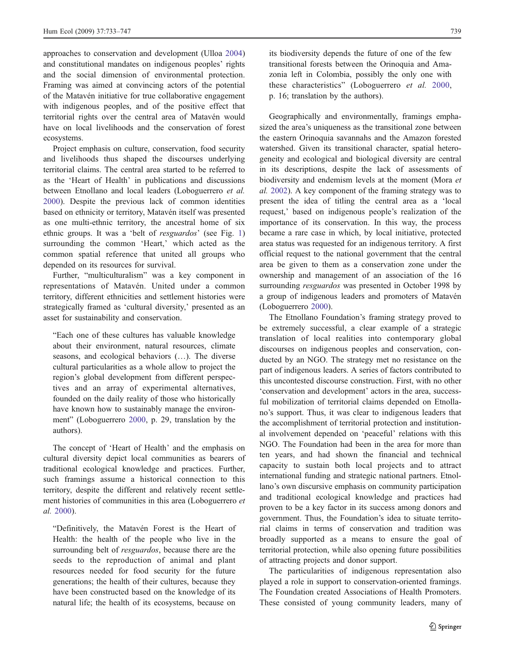approaches to conservation and development (Ulloa [2004\)](#page-15-0) and constitutional mandates on indigenous peoples' rights and the social dimension of environmental protection. Framing was aimed at convincing actors of the potential of the Matavén initiative for true collaborative engagement with indigenous peoples, and of the positive effect that territorial rights over the central area of Matavén would have on local livelihoods and the conservation of forest ecosystems.

Project emphasis on culture, conservation, food security and livelihoods thus shaped the discourses underlying territorial claims. The central area started to be referred to as the 'Heart of Health' in publications and discussions between Etnollano and local leaders (Loboguerrero et al. [2000\)](#page-15-0). Despite the previous lack of common identities based on ethnicity or territory, Matavén itself was presented as one multi-ethnic territory, the ancestral home of six ethnic groups. It was a 'belt of resguardos' (see Fig. [1\)](#page-3-0) surrounding the common 'Heart,' which acted as the common spatial reference that united all groups who depended on its resources for survival.

Further, "multiculturalism" was a key component in representations of Matavén. United under a common territory, different ethnicities and settlement histories were strategically framed as 'cultural diversity,' presented as an asset for sustainability and conservation.

"Each one of these cultures has valuable knowledge about their environment, natural resources, climate seasons, and ecological behaviors (…). The diverse cultural particularities as a whole allow to project the region's global development from different perspectives and an array of experimental alternatives, founded on the daily reality of those who historically have known how to sustainably manage the environment" (Loboguerrero [2000,](#page-15-0) p. 29, translation by the authors).

The concept of 'Heart of Health' and the emphasis on cultural diversity depict local communities as bearers of traditional ecological knowledge and practices. Further, such framings assume a historical connection to this territory, despite the different and relatively recent settlement histories of communities in this area (Loboguerrero et al. [2000](#page-15-0)).

"Definitively, the Matavén Forest is the Heart of Health: the health of the people who live in the surrounding belt of *resguardos*, because there are the seeds to the reproduction of animal and plant resources needed for food security for the future generations; the health of their cultures, because they have been constructed based on the knowledge of its natural life; the health of its ecosystems, because on

its biodiversity depends the future of one of the few transitional forests between the Orinoquia and Amazonia left in Colombia, possibly the only one with these characteristics" (Loboguerrero et al. [2000](#page-15-0), p. 16; translation by the authors).

Geographically and environmentally, framings emphasized the area's uniqueness as the transitional zone between the eastern Orinoquia savannahs and the Amazon forested watershed. Given its transitional character, spatial heterogeneity and ecological and biological diversity are central in its descriptions, despite the lack of assessments of biodiversity and endemism levels at the moment (Mora et al. [2002](#page-15-0)). A key component of the framing strategy was to present the idea of titling the central area as a 'local request,' based on indigenous people's realization of the importance of its conservation. In this way, the process became a rare case in which, by local initiative, protected area status was requested for an indigenous territory. A first official request to the national government that the central area be given to them as a conservation zone under the ownership and management of an association of the 16 surrounding *resguardos* was presented in October 1998 by a group of indigenous leaders and promoters of Matavén (Loboguerrero [2000\)](#page-15-0).

The Etnollano Foundation's framing strategy proved to be extremely successful, a clear example of a strategic translation of local realities into contemporary global discourses on indigenous peoples and conservation, conducted by an NGO. The strategy met no resistance on the part of indigenous leaders. A series of factors contributed to this uncontested discourse construction. First, with no other 'conservation and development' actors in the area, successful mobilization of territorial claims depended on Etnollano's support. Thus, it was clear to indigenous leaders that the accomplishment of territorial protection and institutional involvement depended on 'peaceful' relations with this NGO. The Foundation had been in the area for more than ten years, and had shown the financial and technical capacity to sustain both local projects and to attract international funding and strategic national partners. Etnollano's own discursive emphasis on community participation and traditional ecological knowledge and practices had proven to be a key factor in its success among donors and government. Thus, the Foundation's idea to situate territorial claims in terms of conservation and tradition was broadly supported as a means to ensure the goal of territorial protection, while also opening future possibilities of attracting projects and donor support.

The particularities of indigenous representation also played a role in support to conservation-oriented framings. The Foundation created Associations of Health Promoters. These consisted of young community leaders, many of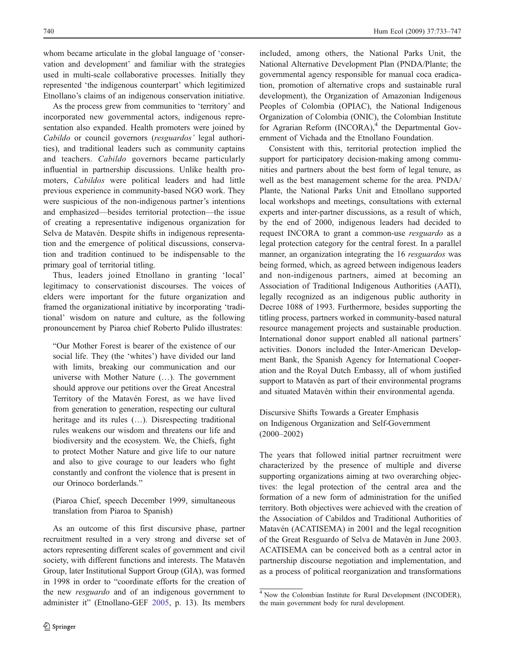whom became articulate in the global language of 'conservation and development' and familiar with the strategies used in multi-scale collaborative processes. Initially they represented 'the indigenous counterpart' which legitimized Etnollano's claims of an indigenous conservation initiative.

As the process grew from communities to 'territory' and incorporated new governmental actors, indigenous representation also expanded. Health promoters were joined by Cabildo or council governors (resguardos' legal authorities), and traditional leaders such as community captains and teachers. Cabildo governors became particularly influential in partnership discussions. Unlike health promoters, Cabildos were political leaders and had little previous experience in community-based NGO work. They were suspicious of the non-indigenous partner's intentions and emphasized—besides territorial protection—the issue of creating a representative indigenous organization for Selva de Matavén. Despite shifts in indigenous representation and the emergence of political discussions, conservation and tradition continued to be indispensable to the primary goal of territorial titling.

Thus, leaders joined Etnollano in granting 'local' legitimacy to conservationist discourses. The voices of elders were important for the future organization and framed the organizational initiative by incorporating 'traditional' wisdom on nature and culture, as the following pronouncement by Piaroa chief Roberto Pulido illustrates:

"Our Mother Forest is bearer of the existence of our social life. They (the 'whites') have divided our land with limits, breaking our communication and our universe with Mother Nature (…). The government should approve our petitions over the Great Ancestral Territory of the Matavén Forest, as we have lived from generation to generation, respecting our cultural heritage and its rules (…). Disrespecting traditional rules weakens our wisdom and threatens our life and biodiversity and the ecosystem. We, the Chiefs, fight to protect Mother Nature and give life to our nature and also to give courage to our leaders who fight constantly and confront the violence that is present in our Orinoco borderlands."

(Piaroa Chief, speech December 1999, simultaneous translation from Piaroa to Spanish)

As an outcome of this first discursive phase, partner recruitment resulted in a very strong and diverse set of actors representing different scales of government and civil society, with different functions and interests. The Matavén Group, later Institutional Support Group (GIA), was formed in 1998 in order to "coordinate efforts for the creation of the new *resguardo* and of an indigenous government to administer it" (Etnollano-GEF [2005,](#page-14-0) p. 13). Its members

included, among others, the National Parks Unit, the National Alternative Development Plan (PNDA/Plante; the governmental agency responsible for manual coca eradication, promotion of alternative crops and sustainable rural development), the Organization of Amazonian Indigenous Peoples of Colombia (OPIAC), the National Indigenous Organization of Colombia (ONIC), the Colombian Institute for Agrarian Reform  $(INCORA)$ ,<sup>4</sup> the Departmental Government of Vichada and the Etnollano Foundation.

Consistent with this, territorial protection implied the support for participatory decision-making among communities and partners about the best form of legal tenure, as well as the best management scheme for the area. PNDA/ Plante, the National Parks Unit and Etnollano supported local workshops and meetings, consultations with external experts and inter-partner discussions, as a result of which, by the end of 2000, indigenous leaders had decided to request INCORA to grant a common-use resguardo as a legal protection category for the central forest. In a parallel manner, an organization integrating the 16 resguardos was being formed, which, as agreed between indigenous leaders and non-indigenous partners, aimed at becoming an Association of Traditional Indigenous Authorities (AATI), legally recognized as an indigenous public authority in Decree 1088 of 1993. Furthermore, besides supporting the titling process, partners worked in community-based natural resource management projects and sustainable production. International donor support enabled all national partners' activities. Donors included the Inter-American Development Bank, the Spanish Agency for International Cooperation and the Royal Dutch Embassy, all of whom justified support to Matavén as part of their environmental programs and situated Matavén within their environmental agenda.

Discursive Shifts Towards a Greater Emphasis on Indigenous Organization and Self-Government  $(2000 - 2002)$ 

The years that followed initial partner recruitment were characterized by the presence of multiple and diverse supporting organizations aiming at two overarching objectives: the legal protection of the central area and the formation of a new form of administration for the unified territory. Both objectives were achieved with the creation of the Association of Cabildos and Traditional Authorities of Matavén (ACATISEMA) in 2001 and the legal recognition of the Great Resguardo of Selva de Matavén in June 2003. ACATISEMA can be conceived both as a central actor in partnership discourse negotiation and implementation, and as a process of political reorganization and transformations

<sup>4</sup> Now the Colombian Institute for Rural Development (INCODER), the main government body for rural development.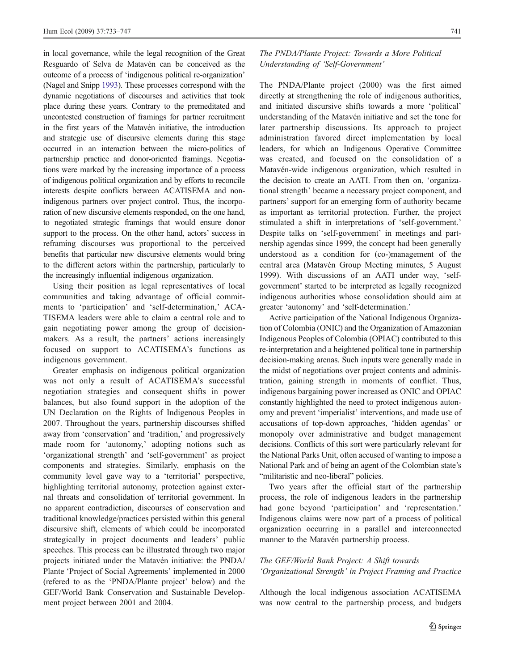in local governance, while the legal recognition of the Great Resguardo of Selva de Matavén can be conceived as the outcome of a process of 'indigenous political re-organization' (Nagel and Snipp [1993](#page-15-0)). These processes correspond with the dynamic negotiations of discourses and activities that took place during these years. Contrary to the premeditated and uncontested construction of framings for partner recruitment in the first years of the Matavén initiative, the introduction and strategic use of discursive elements during this stage occurred in an interaction between the micro-politics of partnership practice and donor-oriented framings. Negotiations were marked by the increasing importance of a process of indigenous political organization and by efforts to reconcile interests despite conflicts between ACATISEMA and nonindigenous partners over project control. Thus, the incorporation of new discursive elements responded, on the one hand, to negotiated strategic framings that would ensure donor support to the process. On the other hand, actors' success in reframing discourses was proportional to the perceived benefits that particular new discursive elements would bring to the different actors within the partnership, particularly to the increasingly influential indigenous organization.

Using their position as legal representatives of local communities and taking advantage of official commitments to 'participation' and 'self-determination,' ACA-TISEMA leaders were able to claim a central role and to gain negotiating power among the group of decisionmakers. As a result, the partners' actions increasingly focused on support to ACATISEMA's functions as indigenous government.

Greater emphasis on indigenous political organization was not only a result of ACATISEMA's successful negotiation strategies and consequent shifts in power balances, but also found support in the adoption of the UN Declaration on the Rights of Indigenous Peoples in 2007. Throughout the years, partnership discourses shifted away from 'conservation' and 'tradition,' and progressively made room for 'autonomy,' adopting notions such as 'organizational strength' and 'self-government' as project components and strategies. Similarly, emphasis on the community level gave way to a 'territorial' perspective, highlighting territorial autonomy, protection against external threats and consolidation of territorial government. In no apparent contradiction, discourses of conservation and traditional knowledge/practices persisted within this general discursive shift, elements of which could be incorporated strategically in project documents and leaders' public speeches. This process can be illustrated through two major projects initiated under the Matavén initiative: the PNDA/ Plante 'Project of Social Agreements' implemented in 2000 (refered to as the 'PNDA/Plante project' below) and the GEF/World Bank Conservation and Sustainable Development project between 2001 and 2004.

## The PNDA/Plante Project: Towards a More Political Understanding of 'Self-Government'

The PNDA/Plante project (2000) was the first aimed directly at strengthening the role of indigenous authorities, and initiated discursive shifts towards a more 'political' understanding of the Matavén initiative and set the tone for later partnership discussions. Its approach to project administration favored direct implementation by local leaders, for which an Indigenous Operative Committee was created, and focused on the consolidation of a Matavén-wide indigenous organization, which resulted in the decision to create an AATI. From then on, 'organizational strength' became a necessary project component, and partners' support for an emerging form of authority became as important as territorial protection. Further, the project stimulated a shift in interpretations of 'self-government.' Despite talks on 'self-government' in meetings and partnership agendas since 1999, the concept had been generally understood as a condition for (co-)management of the central area (Matavén Group Meeting minutes, 5 August 1999). With discussions of an AATI under way, 'selfgovernment' started to be interpreted as legally recognized indigenous authorities whose consolidation should aim at greater 'autonomy' and 'self-determination.'

Active participation of the National Indigenous Organization of Colombia (ONIC) and the Organization of Amazonian Indigenous Peoples of Colombia (OPIAC) contributed to this re-interpretation and a heightened political tone in partnership decision-making arenas. Such inputs were generally made in the midst of negotiations over project contents and administration, gaining strength in moments of conflict. Thus, indigenous bargaining power increased as ONIC and OPIAC constantly highlighted the need to protect indigenous autonomy and prevent 'imperialist' interventions, and made use of accusations of top-down approaches, 'hidden agendas' or monopoly over administrative and budget management decisions. Conflicts of this sort were particularly relevant for the National Parks Unit, often accused of wanting to impose a National Park and of being an agent of the Colombian state's "militaristic and neo-liberal" policies.

Two years after the official start of the partnership process, the role of indigenous leaders in the partnership had gone beyond 'participation' and 'representation.' Indigenous claims were now part of a process of political organization occurring in a parallel and interconnected manner to the Matavén partnership process.

## The GEF/World Bank Project: A Shift towards 'Organizational Strength' in Project Framing and Practice

Although the local indigenous association ACATISEMA was now central to the partnership process, and budgets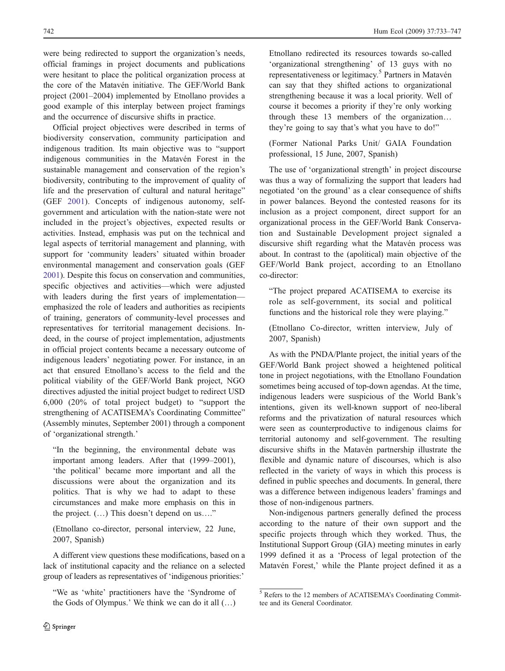were being redirected to support the organization's needs, official framings in project documents and publications were hesitant to place the political organization process at the core of the Matavén initiative. The GEF/World Bank project (2001–2004) implemented by Etnollano provides a good example of this interplay between project framings and the occurrence of discursive shifts in practice.

Official project objectives were described in terms of biodiversity conservation, community participation and indigenous tradition. Its main objective was to "support indigenous communities in the Matavén Forest in the sustainable management and conservation of the region's biodiversity, contributing to the improvement of quality of life and the preservation of cultural and natural heritage" (GEF [2001](#page-15-0)). Concepts of indigenous autonomy, selfgovernment and articulation with the nation-state were not included in the project's objectives, expected results or activities. Instead, emphasis was put on the technical and legal aspects of territorial management and planning, with support for 'community leaders' situated within broader environmental management and conservation goals (GEF [2001\)](#page-15-0). Despite this focus on conservation and communities, specific objectives and activities—which were adjusted with leaders during the first years of implementation emphasized the role of leaders and authorities as recipients of training, generators of community-level processes and representatives for territorial management decisions. Indeed, in the course of project implementation, adjustments in official project contents became a necessary outcome of indigenous leaders' negotiating power. For instance, in an act that ensured Etnollano's access to the field and the political viability of the GEF/World Bank project, NGO directives adjusted the initial project budget to redirect USD 6,000 (20% of total project budget) to "support the strengthening of ACATISEMA's Coordinating Committee" (Assembly minutes, September 2001) through a component of 'organizational strength.'

"In the beginning, the environmental debate was important among leaders. After that (1999–2001), 'the political' became more important and all the discussions were about the organization and its politics. That is why we had to adapt to these circumstances and make more emphasis on this in the project. (…) This doesn't depend on us…."

(Etnollano co-director, personal interview, 22 June, 2007, Spanish)

A different view questions these modifications, based on a lack of institutional capacity and the reliance on a selected group of leaders as representatives of 'indigenous priorities:'

"We as 'white' practitioners have the 'Syndrome of the Gods of Olympus.' We think we can do it all (…) Etnollano redirected its resources towards so-called 'organizational strengthening' of 13 guys with no representativeness or legitimacy.<sup>5</sup> Partners in Matavén can say that they shifted actions to organizational strengthening because it was a local priority. Well of course it becomes a priority if they're only working through these 13 members of the organization… they're going to say that's what you have to do!"

(Former National Parks Unit/ GAIA Foundation professional, 15 June, 2007, Spanish)

The use of 'organizational strength' in project discourse was thus a way of formalizing the support that leaders had negotiated 'on the ground' as a clear consequence of shifts in power balances. Beyond the contested reasons for its inclusion as a project component, direct support for an organizational process in the GEF/World Bank Conservation and Sustainable Development project signaled a discursive shift regarding what the Matavén process was about. In contrast to the (apolitical) main objective of the GEF/World Bank project, according to an Etnollano co-director:

"The project prepared ACATISEMA to exercise its role as self-government, its social and political functions and the historical role they were playing."

(Etnollano Co-director, written interview, July of 2007, Spanish)

As with the PNDA/Plante project, the initial years of the GEF/World Bank project showed a heightened political tone in project negotiations, with the Etnollano Foundation sometimes being accused of top-down agendas. At the time, indigenous leaders were suspicious of the World Bank's intentions, given its well-known support of neo-liberal reforms and the privatization of natural resources which were seen as counterproductive to indigenous claims for territorial autonomy and self-government. The resulting discursive shifts in the Matavén partnership illustrate the flexible and dynamic nature of discourses, which is also reflected in the variety of ways in which this process is defined in public speeches and documents. In general, there was a difference between indigenous leaders' framings and those of non-indigenous partners.

Non-indigenous partners generally defined the process according to the nature of their own support and the specific projects through which they worked. Thus, the Institutional Support Group (GIA) meeting minutes in early 1999 defined it as a 'Process of legal protection of the Matavén Forest,' while the Plante project defined it as a

<sup>&</sup>lt;sup>5</sup> Refers to the 12 members of ACATISEMA's Coordinating Committee and its General Coordinator.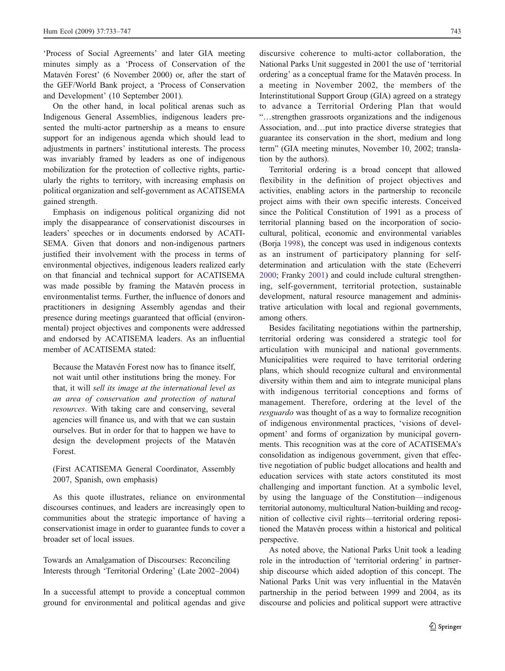'Process of Social Agreements' and later GIA meeting minutes simply as a 'Process of Conservation of the Matavén Forest' (6 November 2000) or, after the start of the GEF/World Bank project, a 'Process of Conservation and Development' (10 September 2001).

On the other hand, in local political arenas such as Indigenous General Assemblies, indigenous leaders presented the multi-actor partnership as a means to ensure support for an indigenous agenda which should lead to adjustments in partners' institutional interests. The process was invariably framed by leaders as one of indigenous mobilization for the protection of collective rights, particularly the rights to territory, with increasing emphasis on political organization and self-government as ACATISEMA gained strength.

Emphasis on indigenous political organizing did not imply the disappearance of conservationist discourses in leaders' speeches or in documents endorsed by ACATI-SEMA. Given that donors and non-indigenous partners justified their involvement with the process in terms of environmental objectives, indigenous leaders realized early on that financial and technical support for ACATISEMA was made possible by framing the Matavén process in environmentalist terms. Further, the influence of donors and practitioners in designing Assembly agendas and their presence during meetings guaranteed that official (environmental) project objectives and components were addressed and endorsed by ACATISEMA leaders. As an influential member of ACATISEMA stated:

Because the Matavén Forest now has to finance itself, not wait until other institutions bring the money. For that, it will sell its image at the international level as an area of conservation and protection of natural resources. With taking care and conserving, several agencies will finance us, and with that we can sustain ourselves. But in order for that to happen we have to design the development projects of the Matavén Forest.

(First ACATISEMA General Coordinator, Assembly 2007, Spanish, own emphasis)

As this quote illustrates, reliance on environmental discourses continues, and leaders are increasingly open to communities about the strategic importance of having a conservationist image in order to guarantee funds to cover a broader set of local issues.

Towards an Amalgamation of Discourses: Reconciling Interests through 'Territorial Ordering' (Late 2002–2004)

In a successful attempt to provide a conceptual common ground for environmental and political agendas and give discursive coherence to multi-actor collaboration, the National Parks Unit suggested in 2001 the use of 'territorial ordering' as a conceptual frame for the Matavén process. In a meeting in November 2002, the members of the Interinstitutional Support Group (GIA) agreed on a strategy to advance a Territorial Ordering Plan that would "…strengthen grassroots organizations and the indigenous Association, and…put into practice diverse strategies that guarantee its conservation in the short, medium and long term" (GIA meeting minutes, November 10, 2002; translation by the authors).

Territorial ordering is a broad concept that allowed flexibility in the definition of project objectives and activities, enabling actors in the partnership to reconcile project aims with their own specific interests. Conceived since the Political Constitution of 1991 as a process of territorial planning based on the incorporation of sociocultural, political, economic and environmental variables (Borja [1998\)](#page-14-0), the concept was used in indigenous contexts as an instrument of participatory planning for selfdetermination and articulation with the state (Echeverri [2000](#page-14-0); Franky [2001\)](#page-15-0) and could include cultural strengthening, self-government, territorial protection, sustainable development, natural resource management and administrative articulation with local and regional governments, among others.

Besides facilitating negotiations within the partnership, territorial ordering was considered a strategic tool for articulation with municipal and national governments. Municipalities were required to have territorial ordering plans, which should recognize cultural and environmental diversity within them and aim to integrate municipal plans with indigenous territorial conceptions and forms of management. Therefore, ordering at the level of the resguardo was thought of as a way to formalize recognition of indigenous environmental practices, 'visions of development' and forms of organization by municipal governments. This recognition was at the core of ACATISEMA's consolidation as indigenous government, given that effective negotiation of public budget allocations and health and education services with state actors constituted its most challenging and important function. At a symbolic level, by using the language of the Constitution—indigenous territorial autonomy, multicultural Nation-building and recognition of collective civil rights—territorial ordering repositioned the Matavén process within a historical and political perspective.

As noted above, the National Parks Unit took a leading role in the introduction of 'territorial ordering' in partnership discourse which aided adoption of this concept. The National Parks Unit was very influential in the Matavén partnership in the period between 1999 and 2004, as its discourse and policies and political support were attractive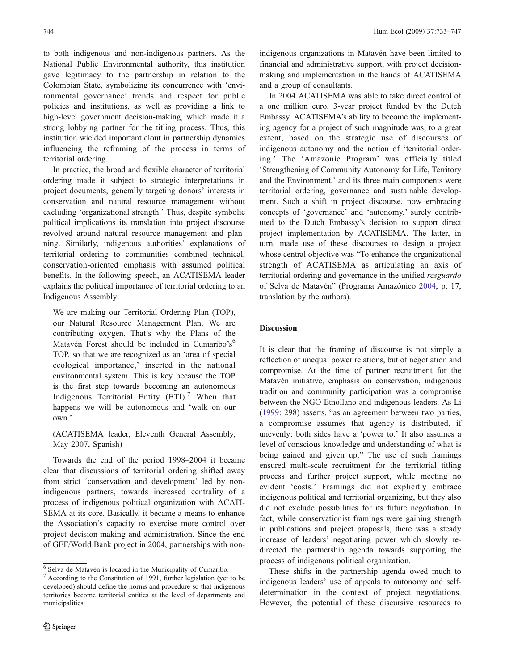to both indigenous and non-indigenous partners. As the National Public Environmental authority, this institution gave legitimacy to the partnership in relation to the Colombian State, symbolizing its concurrence with 'environmental governance' trends and respect for public policies and institutions, as well as providing a link to high-level government decision-making, which made it a strong lobbying partner for the titling process. Thus, this institution wielded important clout in partnership dynamics influencing the reframing of the process in terms of territorial ordering.

In practice, the broad and flexible character of territorial ordering made it subject to strategic interpretations in project documents, generally targeting donors' interests in conservation and natural resource management without excluding 'organizational strength.' Thus, despite symbolic political implications its translation into project discourse revolved around natural resource management and planning. Similarly, indigenous authorities' explanations of territorial ordering to communities combined technical, conservation-oriented emphasis with assumed political benefits. In the following speech, an ACATISEMA leader explains the political importance of territorial ordering to an Indigenous Assembly:

We are making our Territorial Ordering Plan (TOP), our Natural Resource Management Plan. We are contributing oxygen. That's why the Plans of the Matavén Forest should be included in Cumaribo's<sup>6</sup> TOP, so that we are recognized as an 'area of special ecological importance,' inserted in the national environmental system. This is key because the TOP is the first step towards becoming an autonomous Indigenous Territorial Entity  $(ETI).$ <sup>7</sup> When that happens we will be autonomous and 'walk on our own.'

(ACATISEMA leader, Eleventh General Assembly, May 2007, Spanish)

Towards the end of the period 1998–2004 it became clear that discussions of territorial ordering shifted away from strict 'conservation and development' led by nonindigenous partners, towards increased centrality of a process of indigenous political organization with ACATI-SEMA at its core. Basically, it became a means to enhance the Association's capacity to exercise more control over project decision-making and administration. Since the end of GEF/World Bank project in 2004, partnerships with non-

indigenous organizations in Matavén have been limited to financial and administrative support, with project decisionmaking and implementation in the hands of ACATISEMA and a group of consultants.

In 2004 ACATISEMA was able to take direct control of a one million euro, 3-year project funded by the Dutch Embassy. ACATISEMA's ability to become the implementing agency for a project of such magnitude was, to a great extent, based on the strategic use of discourses of indigenous autonomy and the notion of 'territorial ordering.' The 'Amazonic Program' was officially titled 'Strengthening of Community Autonomy for Life, Territory and the Environment,' and its three main components were territorial ordering, governance and sustainable development. Such a shift in project discourse, now embracing concepts of 'governance' and 'autonomy,' surely contributed to the Dutch Embassy's decision to support direct project implementation by ACATISEMA. The latter, in turn, made use of these discourses to design a project whose central objective was "To enhance the organizational strength of ACATISEMA as articulating an axis of territorial ordering and governance in the unified resguardo of Selva de Matavén" (Programa Amazónico [2004](#page-15-0), p. 17, translation by the authors).

# Discussion

It is clear that the framing of discourse is not simply a reflection of unequal power relations, but of negotiation and compromise. At the time of partner recruitment for the Matavén initiative, emphasis on conservation, indigenous tradition and community participation was a compromise between the NGO Etnollano and indigenous leaders. As Li [\(1999](#page-15-0): 298) asserts, "as an agreement between two parties, a compromise assumes that agency is distributed, if unevenly: both sides have a 'power to.' It also assumes a level of conscious knowledge and understanding of what is being gained and given up." The use of such framings ensured multi-scale recruitment for the territorial titling process and further project support, while meeting no evident 'costs.' Framings did not explicitly embrace indigenous political and territorial organizing, but they also did not exclude possibilities for its future negotiation. In fact, while conservationist framings were gaining strength in publications and project proposals, there was a steady increase of leaders' negotiating power which slowly redirected the partnership agenda towards supporting the process of indigenous political organization.

These shifts in the partnership agenda owed much to indigenous leaders' use of appeals to autonomy and selfdetermination in the context of project negotiations. However, the potential of these discursive resources to

<sup>6</sup> Selva de Matavén is located in the Municipality of Cumaribo.

 $7$  According to the Constitution of 1991, further legislation (yet to be developed) should define the norms and procedure so that indigenous territories become territorial entities at the level of departments and municipalities.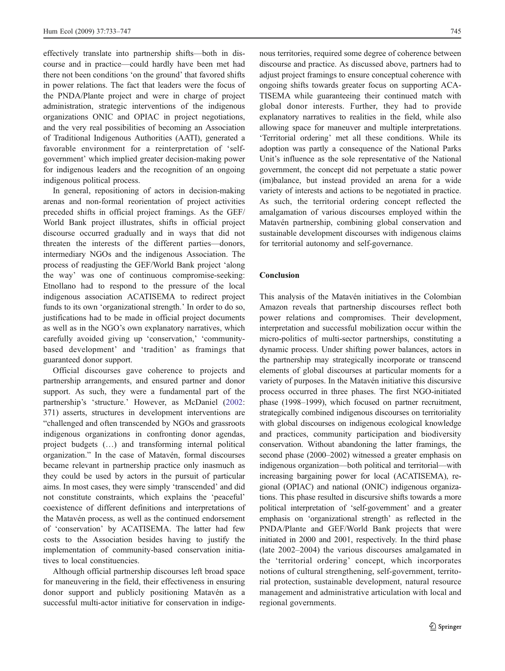effectively translate into partnership shifts—both in discourse and in practice—could hardly have been met had there not been conditions 'on the ground' that favored shifts in power relations. The fact that leaders were the focus of the PNDA/Plante project and were in charge of project administration, strategic interventions of the indigenous organizations ONIC and OPIAC in project negotiations, and the very real possibilities of becoming an Association of Traditional Indigenous Authorities (AATI), generated a favorable environment for a reinterpretation of 'selfgovernment' which implied greater decision-making power for indigenous leaders and the recognition of an ongoing indigenous political process.

In general, repositioning of actors in decision-making arenas and non-formal reorientation of project activities preceded shifts in official project framings. As the GEF/ World Bank project illustrates, shifts in official project discourse occurred gradually and in ways that did not threaten the interests of the different parties—donors, intermediary NGOs and the indigenous Association. The process of readjusting the GEF/World Bank project 'along the way' was one of continuous compromise-seeking: Etnollano had to respond to the pressure of the local indigenous association ACATISEMA to redirect project funds to its own 'organizational strength.' In order to do so, justifications had to be made in official project documents as well as in the NGO's own explanatory narratives, which carefully avoided giving up 'conservation,' 'communitybased development' and 'tradition' as framings that guaranteed donor support.

Official discourses gave coherence to projects and partnership arrangements, and ensured partner and donor support. As such, they were a fundamental part of the partnership's 'structure.' However, as McDaniel [\(2002](#page-15-0): 371) asserts, structures in development interventions are "challenged and often transcended by NGOs and grassroots indigenous organizations in confronting donor agendas, project budgets (…) and transforming internal political organization." In the case of Matavén, formal discourses became relevant in partnership practice only inasmuch as they could be used by actors in the pursuit of particular aims. In most cases, they were simply 'transcended' and did not constitute constraints, which explains the 'peaceful' coexistence of different definitions and interpretations of the Matavén process, as well as the continued endorsement of 'conservation' by ACATISEMA. The latter had few costs to the Association besides having to justify the implementation of community-based conservation initiatives to local constituencies.

Although official partnership discourses left broad space for maneuvering in the field, their effectiveness in ensuring donor support and publicly positioning Matavén as a successful multi-actor initiative for conservation in indigenous territories, required some degree of coherence between discourse and practice. As discussed above, partners had to adjust project framings to ensure conceptual coherence with ongoing shifts towards greater focus on supporting ACA-TISEMA while guaranteeing their continued match with global donor interests. Further, they had to provide explanatory narratives to realities in the field, while also allowing space for maneuver and multiple interpretations. 'Territorial ordering' met all these conditions. While its adoption was partly a consequence of the National Parks Unit's influence as the sole representative of the National government, the concept did not perpetuate a static power (im)balance, but instead provided an arena for a wide variety of interests and actions to be negotiated in practice. As such, the territorial ordering concept reflected the amalgamation of various discourses employed within the Matavén partnership, combining global conservation and sustainable development discourses with indigenous claims for territorial autonomy and self-governance.

#### Conclusion

This analysis of the Matavén initiatives in the Colombian Amazon reveals that partnership discourses reflect both power relations and compromises. Their development, interpretation and successful mobilization occur within the micro-politics of multi-sector partnerships, constituting a dynamic process. Under shifting power balances, actors in the partnership may strategically incorporate or transcend elements of global discourses at particular moments for a variety of purposes. In the Matavén initiative this discursive process occurred in three phases. The first NGO-initiated phase (1998–1999), which focused on partner recruitment, strategically combined indigenous discourses on territoriality with global discourses on indigenous ecological knowledge and practices, community participation and biodiversity conservation. Without abandoning the latter framings, the second phase (2000–2002) witnessed a greater emphasis on indigenous organization—both political and territorial—with increasing bargaining power for local (ACATISEMA), regional (OPIAC) and national (ONIC) indigenous organizations. This phase resulted in discursive shifts towards a more political interpretation of 'self-government' and a greater emphasis on 'organizational strength' as reflected in the PNDA/Plante and GEF/World Bank projects that were initiated in 2000 and 2001, respectively. In the third phase (late 2002–2004) the various discourses amalgamated in the 'territorial ordering' concept, which incorporates notions of cultural strengthening, self-government, territorial protection, sustainable development, natural resource management and administrative articulation with local and regional governments.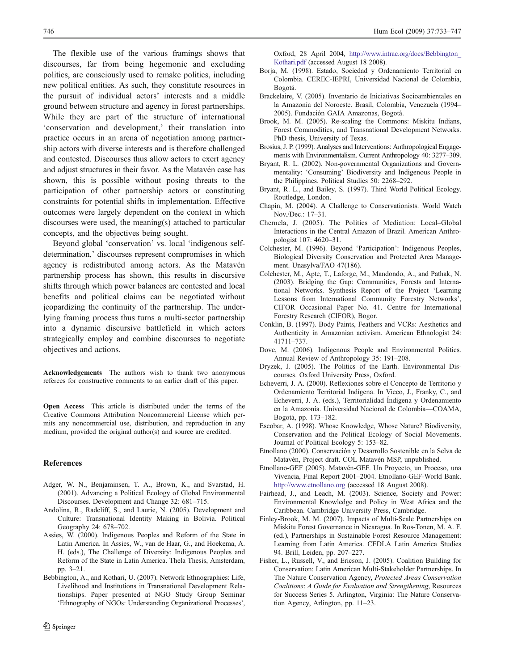<span id="page-14-0"></span>The flexible use of the various framings shows that discourses, far from being hegemonic and excluding politics, are consciously used to remake politics, including new political entities. As such, they constitute resources in the pursuit of individual actors' interests and a middle ground between structure and agency in forest partnerships. While they are part of the structure of international 'conservation and development,' their translation into practice occurs in an arena of negotiation among partnership actors with diverse interests and is therefore challenged and contested. Discourses thus allow actors to exert agency and adjust structures in their favor. As the Matavén case has shown, this is possible without posing threats to the participation of other partnership actors or constituting constraints for potential shifts in implementation. Effective outcomes were largely dependent on the context in which discourses were used, the meaning(s) attached to particular concepts, and the objectives being sought.

Beyond global 'conservation' vs. local 'indigenous selfdetermination,' discourses represent compromises in which agency is redistributed among actors. As the Matavén partnership process has shown, this results in discursive shifts through which power balances are contested and local benefits and political claims can be negotiated without jeopardizing the continuity of the partnership. The underlying framing process thus turns a multi-sector partnership into a dynamic discursive battlefield in which actors strategically employ and combine discourses to negotiate objectives and actions.

Acknowledgements The authors wish to thank two anonymous referees for constructive comments to an earlier draft of this paper.

Open Access This article is distributed under the terms of the Creative Commons Attribution Noncommercial License which permits any noncommercial use, distribution, and reproduction in any medium, provided the original author(s) and source are credited.

#### **References**

- Adger, W. N., Benjaminsen, T. A., Brown, K., and Svarstad, H. (2001). Advancing a Political Ecology of Global Environmental Discourses. Development and Change 32: 681–715.
- Andolina, R., Radcliff, S., and Laurie, N. (2005). Development and Culture: Transnational Identity Making in Bolivia. Political Geography 24: 678–702.
- Assies, W. (2000). Indigenous Peoples and Reform of the State in Latin America. In Assies, W., van de Haar, G., and Hoekema, A. H. (eds.), The Challenge of Diversity: Indigenous Peoples and Reform of the State in Latin America. Thela Thesis, Amsterdam, pp. 3–21.
- Bebbington, A., and Kothari, U. (2007). Network Ethnographies: Life, Livelihood and Institutions in Transnational Development Relationships. Paper presented at NGO Study Group Seminar 'Ethnography of NGOs: Understanding Organizational Processes',

Oxford, 28 April 2004, [http://www.intrac.org/docs/Bebbington\\_](http://www.intrac.org/docs/Bebbington_Kothari.pdf) [Kothari.pdf](http://www.intrac.org/docs/Bebbington_Kothari.pdf) (accessed August 18 2008).

- Borja, M. (1998). Estado, Sociedad y Ordenamiento Territorial en Colombia. CEREC-IEPRI, Universidad Nacional de Colombia, Bogotá.
- Brackelaire, V. (2005). Inventario de Iniciativas Socioambientales en la Amazonía del Noroeste. Brasil, Colombia, Venezuela (1994– 2005). Fundación GAIA Amazonas, Bogotá.
- Brook, M. M. (2005). Re-scaling the Commons: Miskitu Indians, Forest Commodities, and Transnational Development Networks. PhD thesis, University of Texas.
- Brosius, J. P. (1999). Analyses and Interventions: Anthropological Engagements with Environmentalism. Current Anthropology 40: 3277–309.
- Bryant, R. L. (2002). Non-governmental Organizations and Governmentality: 'Consuming' Biodiversity and Indigenous People in the Philippines. Political Studies 50: 2268–292.
- Bryant, R. L., and Bailey, S. (1997). Third World Political Ecology. Routledge, London.
- Chapin, M. (2004). A Challenge to Conservationists. World Watch Nov./Dec.: 17–31.
- Chernela, J. (2005). The Politics of Mediation: Local–Global Interactions in the Central Amazon of Brazil. American Anthropologist 107: 4620–31.
- Colchester, M. (1996). Beyond 'Participation': Indigenous Peoples, Biological Diversity Conservation and Protected Area Management. Unasylva/FAO 47(186).
- Colchester, M., Apte, T., Laforge, M., Mandondo, A., and Pathak, N. (2003). Bridging the Gap: Communities, Forests and International Networks. Synthesis Report of the Project 'Learning Lessons from International Community Forestry Networks', CIFOR Occasional Paper No. 41. Centre for International Forestry Research (CIFOR), Bogor.
- Conklin, B. (1997). Body Paints, Feathers and VCRs: Aesthetics and Authenticity in Amazonian activism. American Ethnologist 24: 41711–737.
- Dove, M. (2006). Indigenous People and Environmental Politics. Annual Review of Anthropology 35: 191–208.
- Dryzek, J. (2005). The Politics of the Earth. Environmental Discourses. Oxford University Press, Oxford.
- Echeverri, J. A. (2000). Reflexiones sobre el Concepto de Territorio y Ordenamiento Territorial Indígena. In Vieco, J., Franky, C., and Echeverri, J. A. (eds.), Territorialidad Índígena y Ordenamiento en la Amazonía. Universidad Nacional de Colombia—COAMA, Bogotá, pp. 173–182.
- Escobar, A. (1998). Whose Knowledge, Whose Nature? Biodiversity, Conservation and the Political Ecology of Social Movements. Journal of Political Ecology 5: 153–82.
- Etnollano (2000). Conservación y Desarrollo Sostenible en la Selva de Matavén, Project draft. COL Matavén MSP, unpublished.
- Etnollano-GEF (2005). Matavén-GEF. Un Proyecto, un Proceso, una Vivencia, Final Report 2001–2004. Etnollano-GEF-World Bank. <http://www.etnollano.org> (accessed 18 August 2008).
- Fairhead, J., and Leach, M. (2003). Science, Society and Power: Environmental Knowledge and Policy in West Africa and the Caribbean. Cambridge University Press, Cambridge.
- Finley-Brook, M. M. (2007). Impacts of Multi-Scale Partnerships on Miskitu Forest Governance in Nicaragua. In Ros-Tonen, M. A. F. (ed.), Partnerships in Sustainable Forest Resource Management: Learning from Latin America. CEDLA Latin America Studies 94. Brill, Leiden, pp. 207–227.
- Fisher, L., Russell, V., and Ericson, J. (2005). Coalition Building for Conservation: Latin American Multi-Stakeholder Partnerships. In The Nature Conservation Agency, Protected Areas Conservation Coalitions: A Guide for Evaluation and Strengthening, Resources for Success Series 5. Arlington, Virginia: The Nature Conservation Agency, Arlington, pp. 11–23.